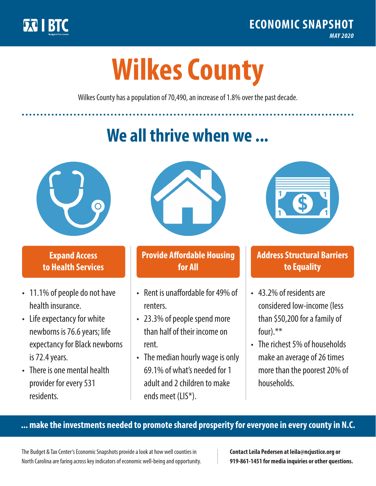

**1**

# **Wilkes County**

Wilkes County has a population of 70,490, an increase of 1.8% over the past decade.

# **We all thrive when we ...**



**\$ <sup>1</sup>**

**\$ <sup>1</sup>**

## **Expand Access to Health Services**

- 11.1% of people do not have health insurance.
- Life expectancy for white newborns is 76.6years; life expectancy for Black newborns is 72.4 years.
- There is one mental health provider for every 531 residents.



## **Provide Affordable Housing for All**

- Rent is unaffordable for 49% of renters.
- 23.3% of people spend more than half of their income on rent.
- The median hourly wage is only 69.1% of what's needed for 1 adult and 2 children to make ends meet (LIS\*).



## **Address Structural Barriers to Equality**

- 43.2% of residents are considered low-income (less than \$50,200 for a family of four).\*\*
- The richest 5% of households make an average of 26 times more than the poorest 20% of households.

#### **... make the investments needed to promote shared prosperity for everyone in every county in N.C.**

The Budget & Tax Center's Economic Snapshots provide a look at how well counties in North Carolina are faring across key indicators of economic well-being and opportunity.